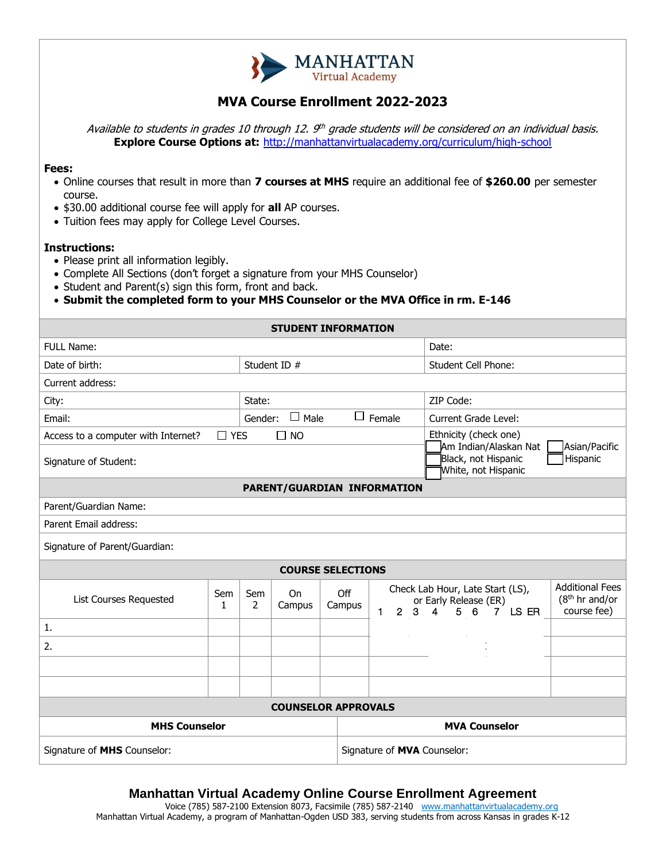

# **MVA Course Enrollment 2022-2023**

Available to students in grades 10 through 12. 9th grade students will be considered on an individual basis. **Explore Course Options at:** <http://manhattanvirtualacademy.org/curriculum/high-school>

### **Fees:**

- Online courses that result in more than **7 courses at MHS** require an additional fee of **\$260.00** per semester course.
- \$30.00 additional course fee will apply for **all** AP courses.
- Tuition fees may apply for College Level Courses.

### **Instructions:**

- Please print all information legibly.
- Complete All Sections (don't forget a signature from your MHS Counselor)
- Student and Parent(s) sign this form, front and back.

• **Submit the completed form to your MHS Counselor or the MVA Office in rm. E-146**

|                                     |            |                                         | <b>STUDENT INFORMATION</b> |               |                                                                                                                                           |                                                |                                                                     |  |
|-------------------------------------|------------|-----------------------------------------|----------------------------|---------------|-------------------------------------------------------------------------------------------------------------------------------------------|------------------------------------------------|---------------------------------------------------------------------|--|
| FULL Name:                          |            |                                         |                            |               |                                                                                                                                           | Date:                                          |                                                                     |  |
| Date of birth:                      |            | Student ID #                            |                            |               |                                                                                                                                           | Student Cell Phone:                            |                                                                     |  |
| Current address:                    |            |                                         |                            |               |                                                                                                                                           |                                                |                                                                     |  |
| City:                               |            | State:                                  |                            |               |                                                                                                                                           | ZIP Code:                                      |                                                                     |  |
| Email:                              |            | $\Box$ Male<br>$\Box$ Female<br>Gender: |                            |               |                                                                                                                                           | Current Grade Level:                           |                                                                     |  |
| Access to a computer with Internet? | $\Box$ YES |                                         | $\Box$ NO                  |               |                                                                                                                                           | Ethnicity (check one)<br>Am Indian/Alaskan Nat | Asian/Pacific                                                       |  |
| Signature of Student:               |            |                                         |                            |               |                                                                                                                                           | Black, not Hispanic<br>White, not Hispanic     | Hispanic                                                            |  |
| PARENT/GUARDIAN INFORMATION         |            |                                         |                            |               |                                                                                                                                           |                                                |                                                                     |  |
| Parent/Guardian Name:               |            |                                         |                            |               |                                                                                                                                           |                                                |                                                                     |  |
| Parent Email address:               |            |                                         |                            |               |                                                                                                                                           |                                                |                                                                     |  |
| Signature of Parent/Guardian:       |            |                                         |                            |               |                                                                                                                                           |                                                |                                                                     |  |
| <b>COURSE SELECTIONS</b>            |            |                                         |                            |               |                                                                                                                                           |                                                |                                                                     |  |
| <b>List Courses Requested</b>       | Sem<br>1   | Sem<br>2                                | On<br>Campus               | Off<br>Campus | Check Lab Hour, Late Start (LS),<br>or Early Release (ER)<br>$\mathbf{1}$<br>$\overline{2}$<br>$7$ LS ER<br>3<br>$\overline{4}$<br>5<br>6 |                                                | <b>Additional Fees</b><br>(8 <sup>th</sup> hr and/or<br>course fee) |  |
| 1.                                  |            |                                         |                            |               |                                                                                                                                           |                                                |                                                                     |  |
| 2.                                  |            |                                         |                            |               |                                                                                                                                           |                                                |                                                                     |  |
|                                     |            |                                         |                            |               |                                                                                                                                           |                                                |                                                                     |  |
|                                     |            |                                         |                            |               |                                                                                                                                           |                                                |                                                                     |  |
| <b>COUNSELOR APPROVALS</b>          |            |                                         |                            |               |                                                                                                                                           |                                                |                                                                     |  |
| <b>MHS Counselor</b>                |            |                                         |                            |               | <b>MVA Counselor</b>                                                                                                                      |                                                |                                                                     |  |
| Signature of MHS Counselor:         |            |                                         |                            |               | Signature of <b>MVA</b> Counselor:                                                                                                        |                                                |                                                                     |  |

## **Manhattan Virtual Academy Online Course Enrollment Agreement**